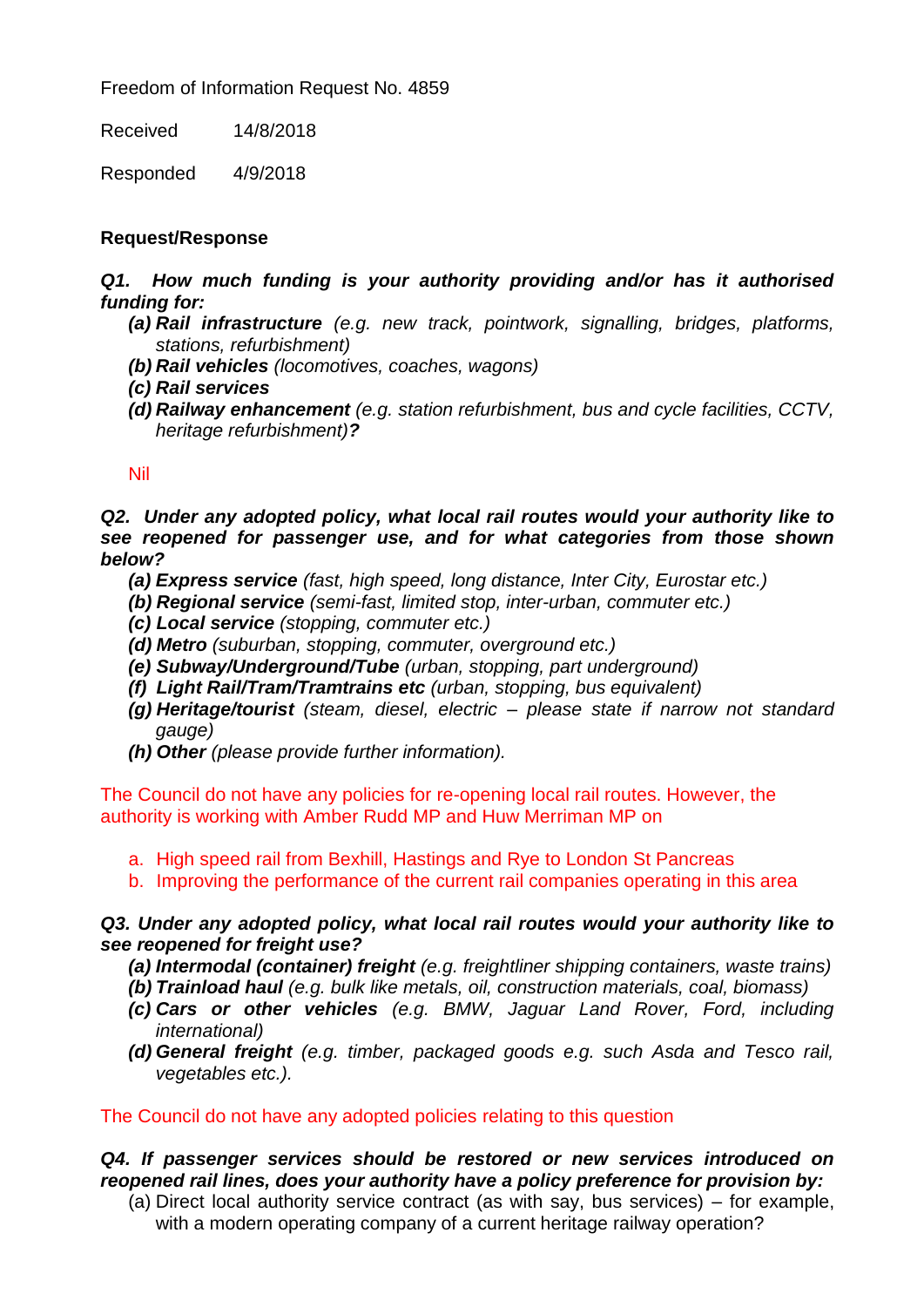Freedom of Information Request No. 4859

Received 14/8/2018

Responded 4/9/2018

## **Request/Response**

*Q1. How much funding is your authority providing and/or has it authorised funding for:*

- *(a) Rail infrastructure (e.g. new track, pointwork, signalling, bridges, platforms, stations, refurbishment)*
- *(b) Rail vehicles (locomotives, coaches, wagons)*
- *(c) Rail services*
- *(d) Railway enhancement (e.g. station refurbishment, bus and cycle facilities, CCTV, heritage refurbishment)?*

Nil

*Q2. Under any adopted policy, what local rail routes would your authority like to see reopened for passenger use, and for what categories from those shown below?*

- *(a) Express service (fast, high speed, long distance, Inter City, Eurostar etc.)*
- *(b) Regional service (semi-fast, limited stop, inter-urban, commuter etc.)*
- *(c) Local service (stopping, commuter etc.)*
- *(d) Metro (suburban, stopping, commuter, overground etc.)*
- *(e) Subway/Underground/Tube (urban, stopping, part underground)*
- *(f) Light Rail/Tram/Tramtrains etc (urban, stopping, bus equivalent)*
- *(g) Heritage/tourist (steam, diesel, electric – please state if narrow not standard gauge)*
- *(h) Other (please provide further information).*

The Council do not have any policies for re-opening local rail routes. However, the authority is working with Amber Rudd MP and Huw Merriman MP on

- a. High speed rail from Bexhill, Hastings and Rye to London St Pancreas
- b. Improving the performance of the current rail companies operating in this area

## *Q3. Under any adopted policy, what local rail routes would your authority like to see reopened for freight use?*

- *(a) Intermodal (container) freight (e.g. freightliner shipping containers, waste trains)*
- *(b) Trainload haul (e.g. bulk like metals, oil, construction materials, coal, biomass)*
- *(c) Cars or other vehicles (e.g. BMW, Jaguar Land Rover, Ford, including international)*
- *(d) General freight (e.g. timber, packaged goods e.g. such Asda and Tesco rail, vegetables etc.).*

The Council do not have any adopted policies relating to this question

## *Q4. If passenger services should be restored or new services introduced on reopened rail lines, does your authority have a policy preference for provision by:*

(a) Direct local authority service contract (as with say, bus services) – for example, with a modern operating company of a current heritage railway operation?